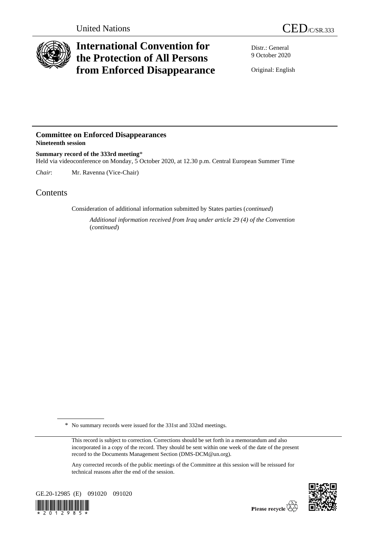

# **International Convention for the Protection of All Persons from Enforced Disappearance**

Distr.: General 9 October 2020

Original: English

### **Committee on Enforced Disappearances Nineteenth session**

**Summary record of the 333rd meeting**\* Held via videoconference on Monday, 5 October 2020, at 12.30 p.m. Central European Summer Time

*Chair*: Mr. Ravenna (Vice-Chair)

## **Contents**

Consideration of additional information submitted by States parties (*continued*)

*Additional information received from Iraq under article 29 (4) of the Convention*  (*continued*)

Any corrected records of the public meetings of the Committee at this session will be reissued for technical reasons after the end of the session.





<sup>\*</sup> No summary records were issued for the 331st and 332nd meetings.

This record is subject to correction. Corrections should be set forth in a memorandum and also incorporated in a copy of the record. They should be sent within one week of the date of the present record to the Documents Management Section (DMS-DCM@un.org).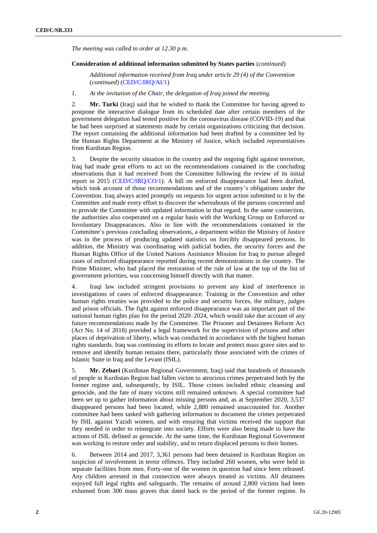*The meeting was called to order at 12.30 p.m.*

#### **Consideration of additional information submitted by States parties** (*continued*)

*Additional information received from Iraq under article 29 (4) of the Convention* (*continued*) [\(CED/C/IRQ/AI/1\)](http://undocs.org/en/CED/C/IRQ/AI/1)

1. *At the invitation of the Chair, the delegation of Iraq joined the meeting.*

2. **Mr. Turki** (Iraq) said that he wished to thank the Committee for having agreed to postpone the interactive dialogue from its scheduled date after certain members of the government delegation had tested positive for the coronavirus disease (COVID-19) and that he had been surprised at statements made by certain organizations criticizing that decision. The report containing the additional information had been drafted by a committee led by the Human Rights Department at the Ministry of Justice, which included representatives from Kurdistan Region.

3. Despite the security situation in the country and the ongoing fight against terrorism, Iraq had made great efforts to act on the recommendations contained in the concluding observations that it had received from the Committee following the review of its initial report in 2015 [\(CED/C/IRQ/CO/1\)](http://undocs.org/en/CED/C/IRQ/CO/1). A bill on enforced disappearance had been drafted, which took account of those recommendations and of the country's obligations under the Convention. Iraq always acted promptly on requests for urgent action submitted to it by the Committee and made every effort to discover the whereabouts of the persons concerned and to provide the Committee with updated information in that regard. In the same connection, the authorities also cooperated on a regular basis with the Working Group on Enforced or Involuntary Disappearances. Also in line with the recommendations contained in the Committee's previous concluding observations, a department within the Ministry of Justice was in the process of producing updated statistics on forcibly disappeared persons. In addition, the Ministry was coordinating with judicial bodies, the security forces and the Human Rights Office of the United Nations Assistance Mission for Iraq to pursue alleged cases of enforced disappearance reported during recent demonstrations in the country. The Prime Minister, who had placed the restoration of the rule of law at the top of the list of government priorities, was concerning himself directly with that matter.

4. Iraqi law included stringent provisions to prevent any kind of interference in investigations of cases of enforced disappearance. Training in the Convention and other human rights treaties was provided to the police and security forces, the military, judges and prison officials. The fight against enforced disappearance was an important part of the national human rights plan for the period 2020–2024, which would take due account of any future recommendations made by the Committee. The Prisoner and Detainees Reform Act (Act No. 14 of 2018) provided a legal framework for the supervision of prisons and other places of deprivation of liberty, which was conducted in accordance with the highest human rights standards. Iraq was continuing its efforts to locate and protect mass grave sites and to remove and identify human remains there, particularly those associated with the crimes of Islamic State in Iraq and the Levant (ISIL).

5. **Mr. Zebari** (Kurdistan Regional Government, Iraq) said that hundreds of thousands of people in Kurdistan Region had fallen victim to atrocious crimes perpetrated both by the former regime and, subsequently, by ISIL. Those crimes included ethnic cleansing and genocide, and the fate of many victims still remained unknown. A special committee had been set up to gather information about missing persons and, as at September 2020, 3,537 disappeared persons had been located, while 2,880 remained unaccounted for. Another committee had been tasked with gathering information to document the crimes perpetrated by ISIL against Yazidi women, and with ensuring that victims received the support that they needed in order to reintegrate into society. Efforts were also being made to have the actions of ISIL defined as genocide. At the same time, the Kurdistan Regional Government was working to restore order and stability, and to return displaced persons to their homes.

6. Between 2014 and 2017, 3,361 persons had been detained in Kurdistan Region on suspicion of involvement in terror offences. They included 260 women, who were held in separate facilities from men. Forty-one of the women in question had since been released. Any children arrested in that connection were always treated as victims. All detainees enjoyed full legal rights and safeguards. The remains of around 2,800 victims had been exhumed from 300 mass graves that dated back to the period of the former regime. In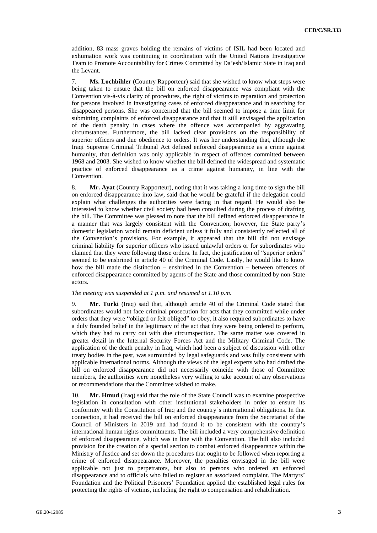addition, 83 mass graves holding the remains of victims of ISIL had been located and exhumation work was continuing in coordination with the United Nations Investigative Team to Promote Accountability for Crimes Committed by Da'esh/Islamic State in Iraq and the Levant.

7. **Ms. Lochbihler** (Country Rapporteur) said that she wished to know what steps were being taken to ensure that the bill on enforced disappearance was compliant with the Convention vis-à-vis clarity of procedures, the right of victims to reparation and protection for persons involved in investigating cases of enforced disappearance and in searching for disappeared persons. She was concerned that the bill seemed to impose a time limit for submitting complaints of enforced disappearance and that it still envisaged the application of the death penalty in cases where the offence was accompanied by aggravating circumstances. Furthermore, the bill lacked clear provisions on the responsibility of superior officers and due obedience to orders. It was her understanding that, although the Iraqi Supreme Criminal Tribunal Act defined enforced disappearance as a crime against humanity, that definition was only applicable in respect of offences committed between 1968 and 2003. She wished to know whether the bill defined the widespread and systematic practice of enforced disappearance as a crime against humanity, in line with the Convention.

8. **Mr. Ayat** (Country Rapporteur), noting that it was taking a long time to sign the bill on enforced disappearance into law, said that he would be grateful if the delegation could explain what challenges the authorities were facing in that regard. He would also be interested to know whether civil society had been consulted during the process of drafting the bill. The Committee was pleased to note that the bill defined enforced disappearance in a manner that was largely consistent with the Convention; however, the State party's domestic legislation would remain deficient unless it fully and consistently reflected all of the Convention's provisions. For example, it appeared that the bill did not envisage criminal liability for superior officers who issued unlawful orders or for subordinates who claimed that they were following those orders. In fact, the justification of "superior orders" seemed to be enshrined in article 40 of the Criminal Code. Lastly, he would like to know how the bill made the distinction – enshrined in the Convention – between offences of enforced disappearance committed by agents of the State and those committed by non-State actors.

### *The meeting was suspended at 1 p.m. and resumed at 1.10 p.m.*

9. **Mr. Turki** (Iraq) said that, although article 40 of the Criminal Code stated that subordinates would not face criminal prosecution for acts that they committed while under orders that they were "obliged or felt obliged" to obey, it also required subordinates to have a duly founded belief in the legitimacy of the act that they were being ordered to perform, which they had to carry out with due circumspection. The same matter was covered in greater detail in the Internal Security Forces Act and the Military Criminal Code. The application of the death penalty in Iraq, which had been a subject of discussion with other treaty bodies in the past, was surrounded by legal safeguards and was fully consistent with applicable international norms. Although the views of the legal experts who had drafted the bill on enforced disappearance did not necessarily coincide with those of Committee members, the authorities were nonetheless very willing to take account of any observations or recommendations that the Committee wished to make.

10. **Mr. Hmud** (Iraq) said that the role of the State Council was to examine prospective legislation in consultation with other institutional stakeholders in order to ensure its conformity with the Constitution of Iraq and the country's international obligations. In that connection, it had received the bill on enforced disappearance from the Secretariat of the Council of Ministers in 2019 and had found it to be consistent with the country's international human rights commitments. The bill included a very comprehensive definition of enforced disappearance, which was in line with the Convention. The bill also included provision for the creation of a special section to combat enforced disappearance within the Ministry of Justice and set down the procedures that ought to be followed when reporting a crime of enforced disappearance. Moreover, the penalties envisaged in the bill were applicable not just to perpetrators, but also to persons who ordered an enforced disappearance and to officials who failed to register an associated complaint. The Martyrs' Foundation and the Political Prisoners' Foundation applied the established legal rules for protecting the rights of victims, including the right to compensation and rehabilitation.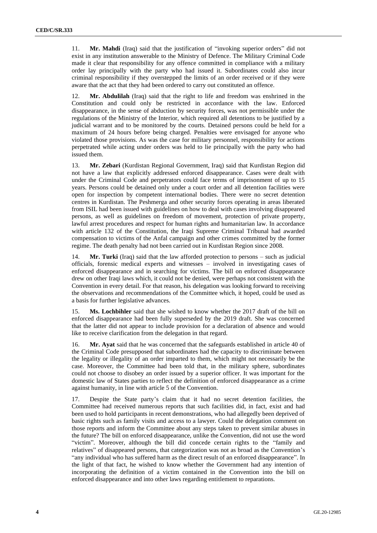11. **Mr. Mahdi** (Iraq) said that the justification of "invoking superior orders" did not exist in any institution answerable to the Ministry of Defence. The Military Criminal Code made it clear that responsibility for any offence committed in compliance with a military order lay principally with the party who had issued it. Subordinates could also incur criminal responsibility if they overstepped the limits of an order received or if they were aware that the act that they had been ordered to carry out constituted an offence.

12. **Mr. Abdulilah** (Iraq) said that the right to life and freedom was enshrined in the Constitution and could only be restricted in accordance with the law. Enforced disappearance, in the sense of abduction by security forces, was not permissible under the regulations of the Ministry of the Interior, which required all detentions to be justified by a judicial warrant and to be monitored by the courts. Detained persons could be held for a maximum of 24 hours before being charged. Penalties were envisaged for anyone who violated those provisions. As was the case for military personnel, responsibility for actions perpetrated while acting under orders was held to lie principally with the party who had issued them.

13. **Mr. Zebari** (Kurdistan Regional Government, Iraq) said that Kurdistan Region did not have a law that explicitly addressed enforced disappearance. Cases were dealt with under the Criminal Code and perpetrators could face terms of imprisonment of up to 15 years. Persons could be detained only under a court order and all detention facilities were open for inspection by competent international bodies. There were no secret detention centres in Kurdistan. The Peshmerga and other security forces operating in areas liberated from ISIL had been issued with guidelines on how to deal with cases involving disappeared persons, as well as guidelines on freedom of movement, protection of private property, lawful arrest procedures and respect for human rights and humanitarian law. In accordance with article 132 of the Constitution, the Iraqi Supreme Criminal Tribunal had awarded compensation to victims of the Anfal campaign and other crimes committed by the former regime. The death penalty had not been carried out in Kurdistan Region since 2008.

14. **Mr. Turki** (Iraq) said that the law afforded protection to persons – such as judicial officials, forensic medical experts and witnesses – involved in investigating cases of enforced disappearance and in searching for victims. The bill on enforced disappearance drew on other Iraqi laws which, it could not be denied, were perhaps not consistent with the Convention in every detail. For that reason, his delegation was looking forward to receiving the observations and recommendations of the Committee which, it hoped, could be used as a basis for further legislative advances.

15. **Ms. Lochbihler** said that she wished to know whether the 2017 draft of the bill on enforced disappearance had been fully superseded by the 2019 draft. She was concerned that the latter did not appear to include provision for a declaration of absence and would like to receive clarification from the delegation in that regard.

16. **Mr. Ayat** said that he was concerned that the safeguards established in article 40 of the Criminal Code presupposed that subordinates had the capacity to discriminate between the legality or illegality of an order imparted to them, which might not necessarily be the case. Moreover, the Committee had been told that, in the military sphere, subordinates could not choose to disobey an order issued by a superior officer. It was important for the domestic law of States parties to reflect the definition of enforced disappearance as a crime against humanity, in line with article 5 of the Convention.

17. Despite the State party's claim that it had no secret detention facilities, the Committee had received numerous reports that such facilities did, in fact, exist and had been used to hold participants in recent demonstrations, who had allegedly been deprived of basic rights such as family visits and access to a lawyer. Could the delegation comment on those reports and inform the Committee about any steps taken to prevent similar abuses in the future? The bill on enforced disappearance, unlike the Convention, did not use the word "victim". Moreover, although the bill did concede certain rights to the "family and relatives" of disappeared persons, that categorization was not as broad as the Convention's "any individual who has suffered harm as the direct result of an enforced disappearance". In the light of that fact, he wished to know whether the Government had any intention of incorporating the definition of a victim contained in the Convention into the bill on enforced disappearance and into other laws regarding entitlement to reparations.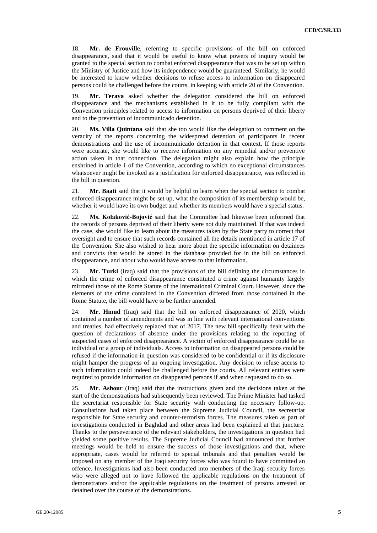18. **Mr. de Frouville**, referring to specific provisions of the bill on enforced disappearance, said that it would be useful to know what powers of inquiry would be granted to the special section to combat enforced disappearance that was to be set up within the Ministry of Justice and how its independence would be guaranteed. Similarly, he would be interested to know whether decisions to refuse access to information on disappeared persons could be challenged before the courts, in keeping with article 20 of the Convention.

19. **Mr. Teraya** asked whether the delegation considered the bill on enforced disappearance and the mechanisms established in it to be fully compliant with the Convention principles related to access to information on persons deprived of their liberty and to the prevention of incommunicado detention.

20. **Ms. Villa Quintana** said that she too would like the delegation to comment on the veracity of the reports concerning the widespread detention of participants in recent demonstrations and the use of incommunicado detention in that context. If those reports were accurate, she would like to receive information on any remedial and/or preventive action taken in that connection. The delegation might also explain how the principle enshrined in article 1 of the Convention, according to which no exceptional circumstances whatsoever might be invoked as a justification for enforced disappearance, was reflected in the bill in question.

21. **Mr. Baati** said that it would be helpful to learn when the special section to combat enforced disappearance might be set up, what the composition of its membership would be, whether it would have its own budget and whether its members would have a special status.

22. **Ms. Kolaković-Bojović** said that the Committee had likewise been informed that the records of persons deprived of their liberty were not duly maintained. If that was indeed the case, she would like to learn about the measures taken by the State party to correct that oversight and to ensure that such records contained all the details mentioned in article 17 of the Convention. She also wished to hear more about the specific information on detainees and convicts that would be stored in the database provided for in the bill on enforced disappearance, and about who would have access to that information.

23. **Mr. Turki** (Iraq) said that the provisions of the bill defining the circumstances in which the crime of enforced disappearance constituted a crime against humanity largely mirrored those of the Rome Statute of the International Criminal Court. However, since the elements of the crime contained in the Convention differed from those contained in the Rome Statute, the bill would have to be further amended.

24. **Mr. Hmud** (Iraq) said that the bill on enforced disappearance of 2020, which contained a number of amendments and was in line with relevant international conventions and treaties, had effectively replaced that of 2017. The new bill specifically dealt with the question of declarations of absence under the provisions relating to the reporting of suspected cases of enforced disappearance. A victim of enforced disappearance could be an individual or a group of individuals. Access to information on disappeared persons could be refused if the information in question was considered to be confidential or if its disclosure might hamper the progress of an ongoing investigation. Any decision to refuse access to such information could indeed be challenged before the courts. All relevant entities were required to provide information on disappeared persons if and when requested to do so.

25. **Mr. Ashour** (Iraq) said that the instructions given and the decisions taken at the start of the demonstrations had subsequently been reviewed. The Prime Minister had tasked the secretariat responsible for State security with conducting the necessary follow-up. Consultations had taken place between the Supreme Judicial Council, the secretariat responsible for State security and counter-terrorism forces. The measures taken as part of investigations conducted in Baghdad and other areas had been explained at that juncture. Thanks to the perseverance of the relevant stakeholders, the investigations in question had yielded some positive results. The Supreme Judicial Council had announced that further meetings would be held to ensure the success of those investigations and that, where appropriate, cases would be referred to special tribunals and that penalties would be imposed on any member of the Iraqi security forces who was found to have committed an offence. Investigations had also been conducted into members of the Iraqi security forces who were alleged not to have followed the applicable regulations on the treatment of demonstrators and/or the applicable regulations on the treatment of persons arrested or detained over the course of the demonstrations.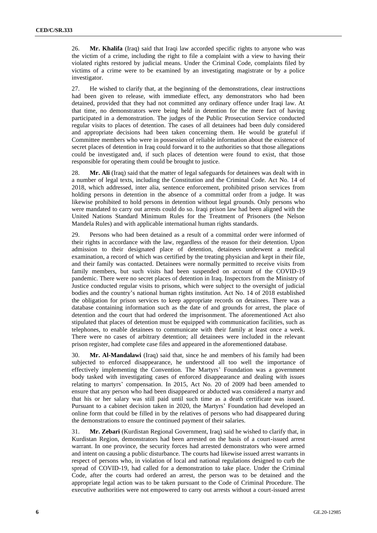26. **Mr. Khalifa** (Iraq) said that Iraqi law accorded specific rights to anyone who was the victim of a crime, including the right to file a complaint with a view to having their violated rights restored by judicial means. Under the Criminal Code, complaints filed by victims of a crime were to be examined by an investigating magistrate or by a police investigator.

27. He wished to clarify that, at the beginning of the demonstrations, clear instructions had been given to release, with immediate effect, any demonstrators who had been detained, provided that they had not committed any ordinary offence under Iraqi law. At that time, no demonstrators were being held in detention for the mere fact of having participated in a demonstration. The judges of the Public Prosecution Service conducted regular visits to places of detention. The cases of all detainees had been duly considered and appropriate decisions had been taken concerning them. He would be grateful if Committee members who were in possession of reliable information about the existence of secret places of detention in Iraq could forward it to the authorities so that those allegations could be investigated and, if such places of detention were found to exist, that those responsible for operating them could be brought to justice.

28. **Mr. Ali** (Iraq) said that the matter of legal safeguards for detainees was dealt with in a number of legal texts, including the Constitution and the Criminal Code. Act No. 14 of 2018, which addressed, inter alia, sentence enforcement, prohibited prison services from holding persons in detention in the absence of a committal order from a judge. It was likewise prohibited to hold persons in detention without legal grounds. Only persons who were mandated to carry out arrests could do so. Iraqi prison law had been aligned with the United Nations Standard Minimum Rules for the Treatment of Prisoners (the Nelson Mandela Rules) and with applicable international human rights standards.

29. Persons who had been detained as a result of a committal order were informed of their rights in accordance with the law, regardless of the reason for their detention. Upon admission to their designated place of detention, detainees underwent a medical examination, a record of which was certified by the treating physician and kept in their file, and their family was contacted. Detainees were normally permitted to receive visits from family members, but such visits had been suspended on account of the COVID-19 pandemic. There were no secret places of detention in Iraq. Inspectors from the Ministry of Justice conducted regular visits to prisons, which were subject to the oversight of judicial bodies and the country's national human rights institution. Act No. 14 of 2018 established the obligation for prison services to keep appropriate records on detainees. There was a database containing information such as the date of and grounds for arrest, the place of detention and the court that had ordered the imprisonment. The aforementioned Act also stipulated that places of detention must be equipped with communication facilities, such as telephones, to enable detainees to communicate with their family at least once a week. There were no cases of arbitrary detention; all detainees were included in the relevant prison register, had complete case files and appeared in the aforementioned database.

30. **Mr. Al-Mandalawi** (Iraq) said that, since he and members of his family had been subjected to enforced disappearance, he understood all too well the importance of effectively implementing the Convention. The Martyrs' Foundation was a government body tasked with investigating cases of enforced disappearance and dealing with issues relating to martyrs' compensation. In 2015, Act No. 20 of 2009 had been amended to ensure that any person who had been disappeared or abducted was considered a martyr and that his or her salary was still paid until such time as a death certificate was issued. Pursuant to a cabinet decision taken in 2020, the Martyrs' Foundation had developed an online form that could be filled in by the relatives of persons who had disappeared during the demonstrations to ensure the continued payment of their salaries.

31. **Mr. Zebari** (Kurdistan Regional Government, Iraq) said he wished to clarify that, in Kurdistan Region, demonstrators had been arrested on the basis of a court-issued arrest warrant. In one province, the security forces had arrested demonstrators who were armed and intent on causing a public disturbance. The courts had likewise issued arrest warrants in respect of persons who, in violation of local and national regulations designed to curb the spread of COVID-19, had called for a demonstration to take place. Under the Criminal Code, after the courts had ordered an arrest, the person was to be detained and the appropriate legal action was to be taken pursuant to the Code of Criminal Procedure. The executive authorities were not empowered to carry out arrests without a court-issued arrest